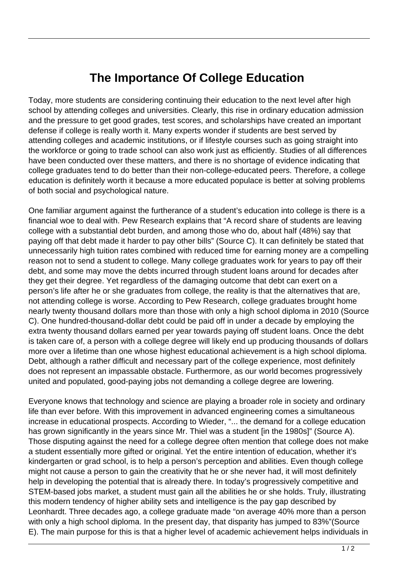## **The Importance Of College Education**

Today, more students are considering continuing their education to the next level after high school by attending colleges and universities. Clearly, this rise in ordinary education admission and the pressure to get good grades, test scores, and scholarships have created an important defense if college is really worth it. Many experts wonder if students are best served by attending colleges and academic institutions, or if lifestyle courses such as going straight into the workforce or going to trade school can also work just as efficiently. Studies of all differences have been conducted over these matters, and there is no shortage of evidence indicating that college graduates tend to do better than their non-college-educated peers. Therefore, a college education is definitely worth it because a more educated populace is better at solving problems of both social and psychological nature.

One familiar argument against the furtherance of a student's education into college is there is a financial woe to deal with. Pew Research explains that "A record share of students are leaving college with a substantial debt burden, and among those who do, about half (48%) say that paying off that debt made it harder to pay other bills" (Source C). It can definitely be stated that unnecessarily high tuition rates combined with reduced time for earning money are a compelling reason not to send a student to college. Many college graduates work for years to pay off their debt, and some may move the debts incurred through student loans around for decades after they get their degree. Yet regardless of the damaging outcome that debt can exert on a person's life after he or she graduates from college, the reality is that the alternatives that are, not attending college is worse. According to Pew Research, college graduates brought home nearly twenty thousand dollars more than those with only a high school diploma in 2010 (Source C). One hundred-thousand-dollar debt could be paid off in under a decade by employing the extra twenty thousand dollars earned per year towards paying off student loans. Once the debt is taken care of, a person with a college degree will likely end up producing thousands of dollars more over a lifetime than one whose highest educational achievement is a high school diploma. Debt, although a rather difficult and necessary part of the college experience, most definitely does not represent an impassable obstacle. Furthermore, as our world becomes progressively united and populated, good-paying jobs not demanding a college degree are lowering.

Everyone knows that technology and science are playing a broader role in society and ordinary life than ever before. With this improvement in advanced engineering comes a simultaneous increase in educational prospects. According to Wieder, "... the demand for a college education has grown significantly in the years since Mr. Thiel was a student [in the 1980s]" (Source A). Those disputing against the need for a college degree often mention that college does not make a student essentially more gifted or original. Yet the entire intention of education, whether it's kindergarten or grad school, is to help a person's perception and abilities. Even though college might not cause a person to gain the creativity that he or she never had, it will most definitely help in developing the potential that is already there. In today's progressively competitive and STEM-based jobs market, a student must gain all the abilities he or she holds. Truly, illustrating this modern tendency of higher ability sets and intelligence is the pay gap described by Leonhardt. Three decades ago, a college graduate made "on average 40% more than a person with only a high school diploma. In the present day, that disparity has jumped to 83%"(Source E). The main purpose for this is that a higher level of academic achievement helps individuals in